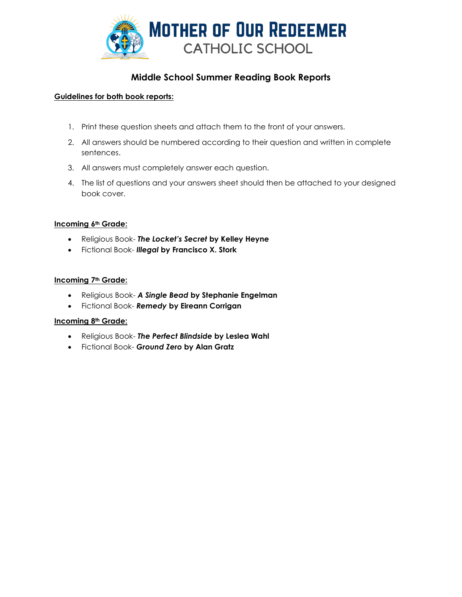

# **Middle School Summer Reading Book Reports**

## **Guidelines for both book reports:**

- 1. Print these question sheets and attach them to the front of your answers.
- 2. All answers should be numbered according to their question and written in complete sentences.
- 3. All answers must completely answer each question.
- 4. The list of questions and your answers sheet should then be attached to your designed book cover.

### **Incoming 6th Grade:**

- Religious Book- *The Locket's Secret* **by Kelley Heyne**
- Fictional Book- *Illegal* **by Francisco X. Stork**

#### **Incoming 7th Grade:**

- Religious Book- *A Single Bead* **by Stephanie Engelman**
- Fictional Book- *Remedy* **by Eireann Corrigan**

#### **Incoming 8th Grade:**

- Religious Book- *The Perfect Blindside* **by Leslea Wahl**
- Fictional Book- *Ground Zero* **by Alan Gratz**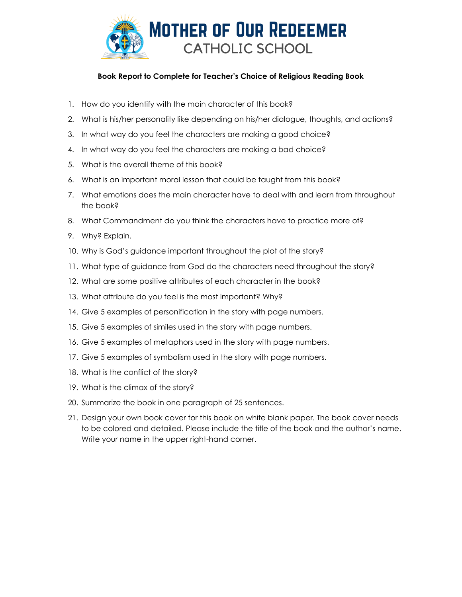

## **Book Report to Complete for Teacher's Choice of Religious Reading Book**

- 1. How do you identify with the main character of this book?
- 2. What is his/her personality like depending on his/her dialogue, thoughts, and actions?
- 3. In what way do you feel the characters are making a good choice?
- 4. In what way do you feel the characters are making a bad choice?
- 5. What is the overall theme of this book?
- 6. What is an important moral lesson that could be taught from this book?
- 7. What emotions does the main character have to deal with and learn from throughout the book?
- 8. What Commandment do you think the characters have to practice more of?
- 9. Why? Explain.
- 10. Why is God's guidance important throughout the plot of the story?
- 11. What type of guidance from God do the characters need throughout the story?
- 12. What are some positive attributes of each character in the book?
- 13. What attribute do you feel is the most important? Why?
- 14. Give 5 examples of personification in the story with page numbers.
- 15. Give 5 examples of similes used in the story with page numbers.
- 16. Give 5 examples of metaphors used in the story with page numbers.
- 17. Give 5 examples of symbolism used in the story with page numbers.
- 18. What is the conflict of the story?
- 19. What is the climax of the story?
- 20. Summarize the book in one paragraph of 25 sentences.
- 21. Design your own book cover for this book on white blank paper. The book cover needs to be colored and detailed. Please include the title of the book and the author's name. Write your name in the upper right-hand corner.